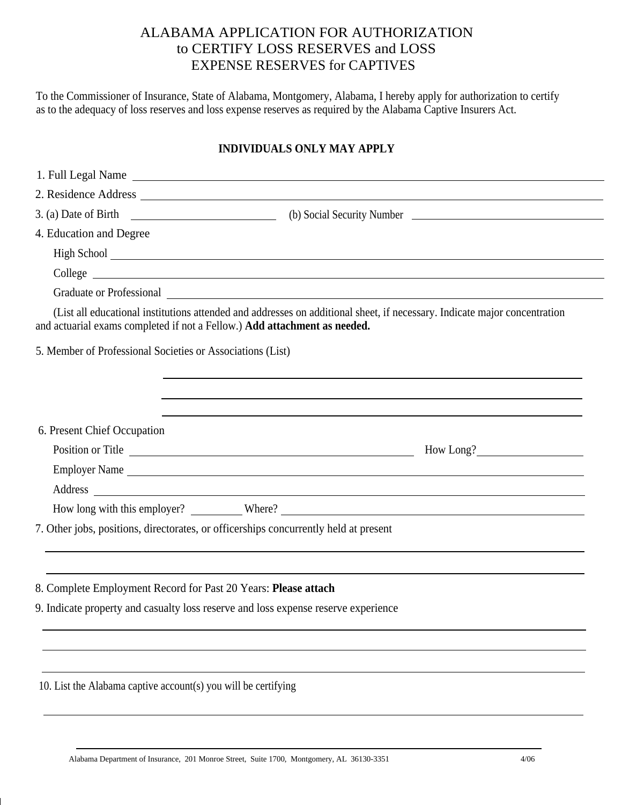## ALABAMA APPLICATION FOR AUTHORIZATION to CERTIFY LOSS RESERVES and LOSS EXPENSE RESERVES for CAPTIVES

To the Commissioner of Insurance, State of Alabama, Montgomery, Alabama, I hereby apply for authorization to certify as to the adequacy of loss reserves and loss expense reserves as required by the Alabama Captive Insurers Act.

## **INDIVIDUALS ONLY MAY APPLY**

| 4. Education and Degree                                                              |                                                                                                                                                                                                                                |
|--------------------------------------------------------------------------------------|--------------------------------------------------------------------------------------------------------------------------------------------------------------------------------------------------------------------------------|
|                                                                                      |                                                                                                                                                                                                                                |
|                                                                                      | College entertainment and the collection of the collection of the collection of the collection of the collection of the collection of the collection of the collection of the collection of the collection of the collection o |
|                                                                                      | Graduate or Professional Charles Contains and Charles Contains a series of the contact of the contact of the contact of the contact of the contact of the contact of the contact of the contact of the contact of the contact  |
| and actuarial exams completed if not a Fellow.) Add attachment as needed.            | (List all educational institutions attended and addresses on additional sheet, if necessary. Indicate major concentration                                                                                                      |
| 5. Member of Professional Societies or Associations (List)                           |                                                                                                                                                                                                                                |
|                                                                                      |                                                                                                                                                                                                                                |
|                                                                                      |                                                                                                                                                                                                                                |
| 6. Present Chief Occupation                                                          |                                                                                                                                                                                                                                |
|                                                                                      |                                                                                                                                                                                                                                |
|                                                                                      |                                                                                                                                                                                                                                |
|                                                                                      | Address and the contract of the contract of the contract of the contract of the contract of the contract of the contract of the contract of the contract of the contract of the contract of the contract of the contract of th |
|                                                                                      |                                                                                                                                                                                                                                |
| 7. Other jobs, positions, directorates, or officerships concurrently held at present |                                                                                                                                                                                                                                |
|                                                                                      |                                                                                                                                                                                                                                |
| 8. Complete Employment Record for Past 20 Years: Please attach                       |                                                                                                                                                                                                                                |
| 9. Indicate property and casualty loss reserve and loss expense reserve experience   |                                                                                                                                                                                                                                |
|                                                                                      |                                                                                                                                                                                                                                |
|                                                                                      |                                                                                                                                                                                                                                |
|                                                                                      |                                                                                                                                                                                                                                |
| 10. List the Alabama captive account(s) you will be certifying                       |                                                                                                                                                                                                                                |
|                                                                                      |                                                                                                                                                                                                                                |